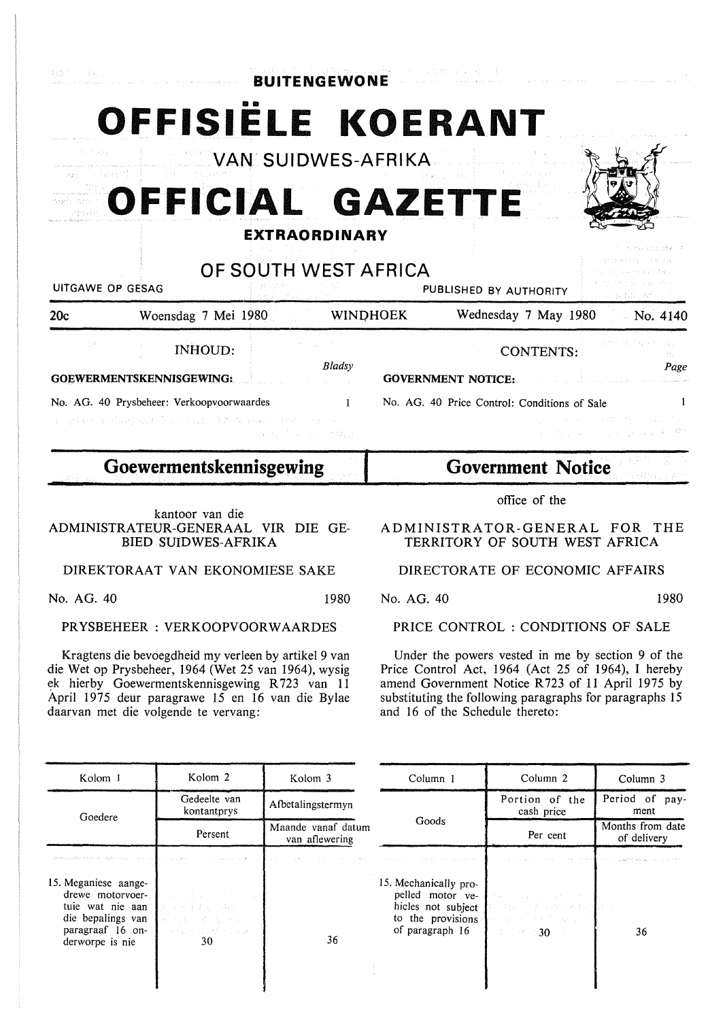| お腹 たいけんり                        |                                                                                            | <b>BUITENGEWONE</b>         | 승규는 얼굴이 나서 사람들이 나서 나서 사람들을 사고 있었다. |                                                                                                  |                                 |                                                                                            |
|---------------------------------|--------------------------------------------------------------------------------------------|-----------------------------|------------------------------------|--------------------------------------------------------------------------------------------------|---------------------------------|--------------------------------------------------------------------------------------------|
| Residents Advance<br>an - habit | OFFISIELE KOERANT<br>VAN SUIDWES-AFRIKA<br>OFFICIAL GAZETTE                                | <b>EXTRAORDINARY</b>        |                                    |                                                                                                  |                                 |                                                                                            |
| UITGAWE OP GESAG<br>20c         | Woensdag 7 Mei 1980 WINDHOEK                                                               | OF SOUTH WEST AFRICA        |                                    | PUBLISHED BY AUTHORITY                                                                           |                                 | アカー がわみ むけん 通すこえ<br>ほんそうえん 白い しんがさな<br>in Teknolom och St<br>Wednesday 7 May 1980 No. 4140 |
| GOEWERMENTSKENNISGEWING:        | INHOUD:<br>No. AG. 40 Prysbeheer: Verkoopvoorwaardes<br>I WAS TRANSMITTED ON A REPORT OF A | Bladsy<br>and the community |                                    | <b>GOVERNMENT NOTICE:</b><br>No. AG. 40 Price Control: Conditions of Sale<br>医心包 医心包 医神经性骨折 医骨折的 | CONTENTS:<br>计可编程序 经工业发行 转换器 制造 | 9-19-51 120-3524<br>T.<br>Page<br>- 10 -                                                   |
|                                 | Goewermentskennisgewing                                                                    |                             |                                    | <b>Government Notice</b>                                                                         |                                 |                                                                                            |

kantoor van die ADMINISTRATEUR-GENERAAL VIR DIE GE-BIED SUIDWES-AFRIKA

DIREKTORAAT VAN EKONOMIESE SAKE

No. AG. 40 1980

## **PRYSBEHEER: VERKOOPVOORWAARDES**

Kragtens die bevoegdheid my verleen by artikel 9 van die Wet op Prysbeheer, 1964 (Wet 25 van 1964), wysig ~k hierby Goewermentskennisgewing **R** 723 van 11 April 1975 deur paragrawe 15 en 16 van die Bylae daarvan met die volgende te vervang:

**Government Notice** 

office of the

**ADMINISTRATOR-GENERAL FOR** THE **TERRITORY OF SOUTH WEST AFRICA** 

## **DIRECTORATE OF ECONOMIC AFFAIRS**

No. AG. 40 1980

## PRICE CONTROL : CONDITIONS OF SALE

Under the powers vested in me by section 9 of the Price Control Act, 1964 (Act 25 of 1964), I hereby amend Government Notice R 723 of 11 April 1975 by substituting the following paragraphs for paragraphs 15 and 16 of the Schedule thereto:

| Kolom J                                                                                                                  | Kolom 2                                                                                            | Kolom 3                              | Column 1                                                                                                | Column 2                                                                                           | Column 3                                                                                   |
|--------------------------------------------------------------------------------------------------------------------------|----------------------------------------------------------------------------------------------------|--------------------------------------|---------------------------------------------------------------------------------------------------------|----------------------------------------------------------------------------------------------------|--------------------------------------------------------------------------------------------|
| Goedere                                                                                                                  | Gedeelte van<br>kontantprys                                                                        | Afbetalingstermyn                    |                                                                                                         | Portion of the<br>cash price                                                                       | Period of pay-<br>ment                                                                     |
|                                                                                                                          | Persent                                                                                            | Maande vanaf datum<br>van aflewering | Goods                                                                                                   | Per cent                                                                                           | Months from date<br>of delivery                                                            |
| We have deep states on a dependence of the control of the control of the                                                 | The control was provided                                                                           |                                      |                                                                                                         |                                                                                                    | and the substitution of the contract of the substitution and properties are applied to the |
| 15. Meganiese aange-<br>drewe motorvoer-<br>tuie wat nie aan<br>die bepalings van<br>paragraaf 16 on-<br>derworpe is nie | service parks of the company<br>おしょうしゃ あんじ みょくしょう<br>化丙烯二烯 医牙中<br>and the state of the state<br>30 | 36                                   | 15. Mechanically pro-<br>pelled motor ye-<br>hicles not subject<br>to the provisions<br>of paragraph 16 | 神学大学 1887年 (1948年)<br>不能 计子系 网络亚洲美洲南部<br>and the South System<br>$\beta$ , the set $\beta$ 30 sets | 36                                                                                         |